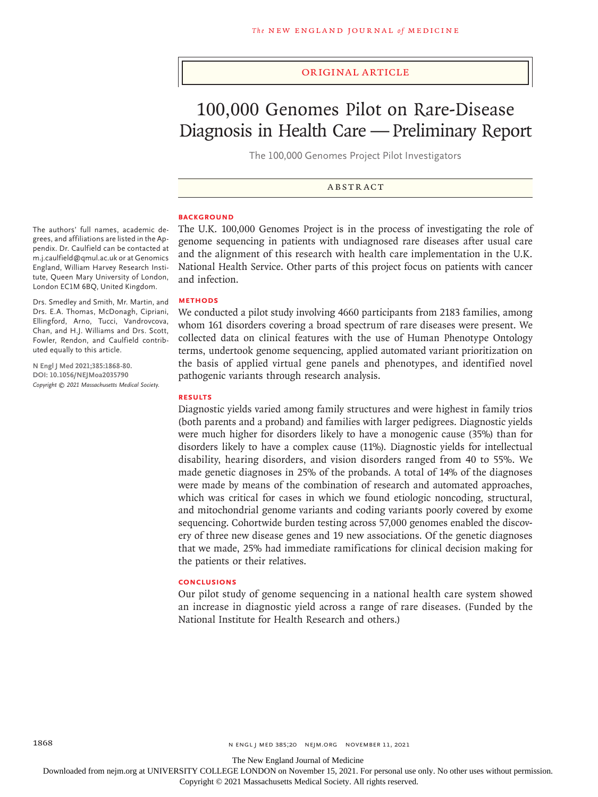#### Original Article

# 100,000 Genomes Pilot on Rare-Disease Diagnosis in Health Care — Preliminary Report

The 100,000 Genomes Project Pilot Investigators

### ABSTRACT

#### **BACKGROUND**

The U.K. 100,000 Genomes Project is in the process of investigating the role of genome sequencing in patients with undiagnosed rare diseases after usual care and the alignment of this research with health care implementation in the U.K. National Health Service. Other parts of this project focus on patients with cancer and infection.

#### **METHODS**

We conducted a pilot study involving 4660 participants from 2183 families, among whom 161 disorders covering a broad spectrum of rare diseases were present. We collected data on clinical features with the use of Human Phenotype Ontology terms, undertook genome sequencing, applied automated variant prioritization on the basis of applied virtual gene panels and phenotypes, and identified novel pathogenic variants through research analysis.

#### **RESULTS**

Diagnostic yields varied among family structures and were highest in family trios (both parents and a proband) and families with larger pedigrees. Diagnostic yields were much higher for disorders likely to have a monogenic cause (35%) than for disorders likely to have a complex cause (11%). Diagnostic yields for intellectual disability, hearing disorders, and vision disorders ranged from 40 to 55%. We made genetic diagnoses in 25% of the probands. A total of 14% of the diagnoses were made by means of the combination of research and automated approaches, which was critical for cases in which we found etiologic noncoding, structural, and mitochondrial genome variants and coding variants poorly covered by exome sequencing. Cohortwide burden testing across 57,000 genomes enabled the discovery of three new disease genes and 19 new associations. Of the genetic diagnoses that we made, 25% had immediate ramifications for clinical decision making for the patients or their relatives.

#### **CONCLUSIONS**

Our pilot study of genome sequencing in a national health care system showed an increase in diagnostic yield across a range of rare diseases. (Funded by the National Institute for Health Research and others.)

The authors' full names, academic degrees, and affiliations are listed in the Appendix. Dr. Caulfield can be contacted at m.j.caulfield@qmul.ac.uk or at Genomics England, William Harvey Research Institute, Queen Mary University of London, London EC1M 6BQ, United Kingdom.

Drs. Smedley and Smith, Mr. Martin, and Drs. E.A. Thomas, McDonagh, Cipriani, Ellingford, Arno, Tucci, Vandrovcova, Chan, and H.J. Williams and Drs. Scott, Fowler, Rendon, and Caulfield contributed equally to this article.

**N Engl J Med 2021;385:1868-80. DOI: 10.1056/NEJMoa2035790** *Copyright © 2021 Massachusetts Medical Society.*

The New England Journal of Medicine

Downloaded from nejm.org at UNIVERSITY COLLEGE LONDON on November 15, 2021. For personal use only. No other uses without permission.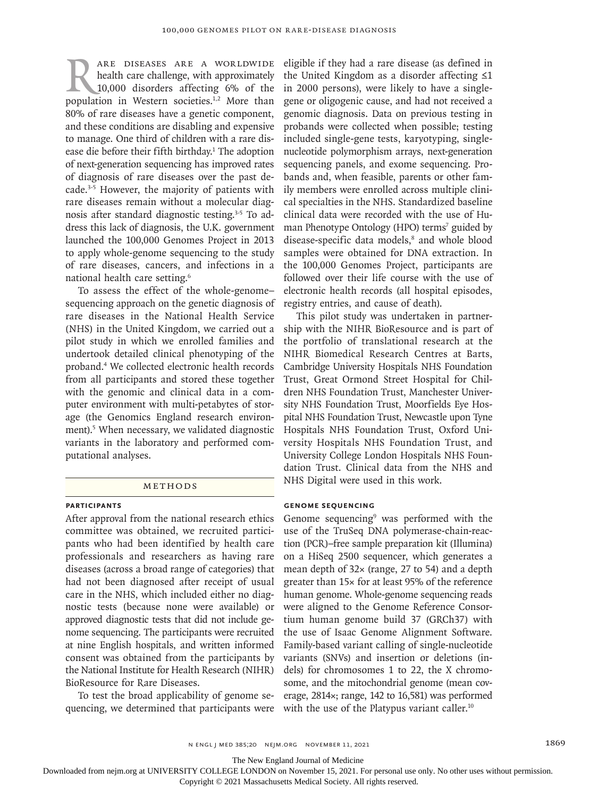RARE DISEASES ARE A WORLDWIDE<br>health care challenge, with approximately<br>10,000 disorders affecting 6% of the<br>population in Western societies.<sup>1,2</sup> More than health care challenge, with approximately 10,000 disorders affecting 6% of the population in Western societies.<sup>1,2</sup> More than 80% of rare diseases have a genetic component, and these conditions are disabling and expensive to manage. One third of children with a rare disease die before their fifth birthday.<sup>1</sup> The adoption of next-generation sequencing has improved rates of diagnosis of rare diseases over the past decade.3-5 However, the majority of patients with rare diseases remain without a molecular diagnosis after standard diagnostic testing.<sup>3-5</sup> To address this lack of diagnosis, the U.K. government launched the 100,000 Genomes Project in 2013 to apply whole-genome sequencing to the study of rare diseases, cancers, and infections in a national health care setting.6

To assess the effect of the whole-genome– sequencing approach on the genetic diagnosis of rare diseases in the National Health Service (NHS) in the United Kingdom, we carried out a pilot study in which we enrolled families and undertook detailed clinical phenotyping of the proband.4 We collected electronic health records from all participants and stored these together with the genomic and clinical data in a computer environment with multi-petabytes of storage (the Genomics England research environment).5 When necessary, we validated diagnostic variants in the laboratory and performed computational analyses.

### Methods

# **Participants**

After approval from the national research ethics committee was obtained, we recruited participants who had been identified by health care professionals and researchers as having rare diseases (across a broad range of categories) that had not been diagnosed after receipt of usual care in the NHS, which included either no diagnostic tests (because none were available) or approved diagnostic tests that did not include genome sequencing. The participants were recruited at nine English hospitals, and written informed consent was obtained from the participants by the National Institute for Health Research (NIHR) BioResource for Rare Diseases.

To test the broad applicability of genome sequencing, we determined that participants were eligible if they had a rare disease (as defined in the United Kingdom as a disorder affecting ≤1 in 2000 persons), were likely to have a singlegene or oligogenic cause, and had not received a genomic diagnosis. Data on previous testing in probands were collected when possible; testing included single-gene tests, karyotyping, singlenucleotide polymorphism arrays, next-generation sequencing panels, and exome sequencing. Probands and, when feasible, parents or other family members were enrolled across multiple clinical specialties in the NHS. Standardized baseline clinical data were recorded with the use of Human Phenotype Ontology (HPO) terms<sup>7</sup> guided by disease-specific data models,<sup>8</sup> and whole blood samples were obtained for DNA extraction. In the 100,000 Genomes Project, participants are followed over their life course with the use of electronic health records (all hospital episodes, registry entries, and cause of death).

This pilot study was undertaken in partnership with the NIHR BioResource and is part of the portfolio of translational research at the NIHR Biomedical Research Centres at Barts, Cambridge University Hospitals NHS Foundation Trust, Great Ormond Street Hospital for Children NHS Foundation Trust, Manchester University NHS Foundation Trust, Moorfields Eye Hospital NHS Foundation Trust, Newcastle upon Tyne Hospitals NHS Foundation Trust, Oxford University Hospitals NHS Foundation Trust, and University College London Hospitals NHS Foundation Trust. Clinical data from the NHS and NHS Digital were used in this work.

#### **Genome Sequencing**

Genome sequencing<sup>9</sup> was performed with the use of the TruSeq DNA polymerase-chain-reaction (PCR)–free sample preparation kit (Illumina) on a HiSeq 2500 sequencer, which generates a mean depth of 32× (range, 27 to 54) and a depth greater than 15× for at least 95% of the reference human genome. Whole-genome sequencing reads were aligned to the Genome Reference Consortium human genome build 37 (GRCh37) with the use of Isaac Genome Alignment Software. Family-based variant calling of single-nucleotide variants (SNVs) and insertion or deletions (indels) for chromosomes 1 to 22, the X chromosome, and the mitochondrial genome (mean coverage, 2814×; range, 142 to 16,581) was performed with the use of the Platypus variant caller.<sup>10</sup>

n engl j med 385;20 Nejm.org November 11, 2021 1869

The New England Journal of Medicine

Downloaded from nejm.org at UNIVERSITY COLLEGE LONDON on November 15, 2021. For personal use only. No other uses without permission.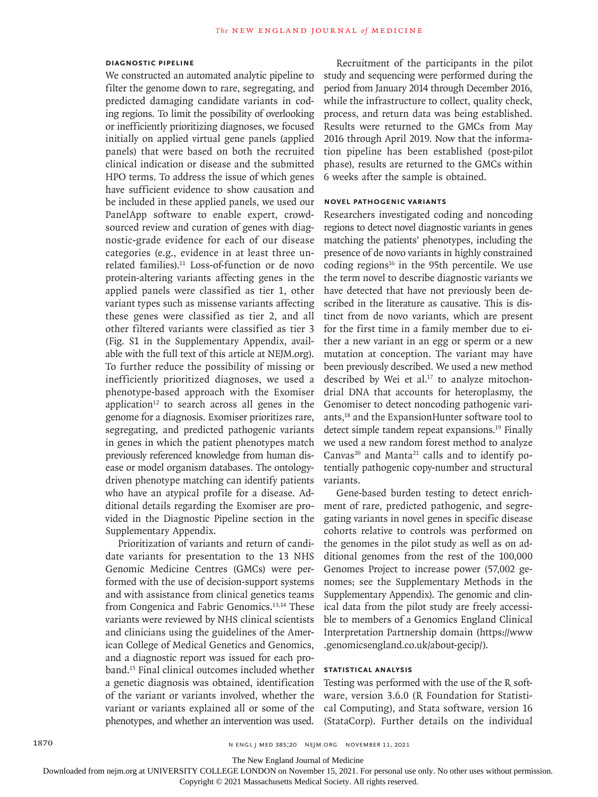#### **Diagnostic Pipeline**

We constructed an automated analytic pipeline to filter the genome down to rare, segregating, and predicted damaging candidate variants in coding regions. To limit the possibility of overlooking or inefficiently prioritizing diagnoses, we focused initially on applied virtual gene panels (applied panels) that were based on both the recruited clinical indication or disease and the submitted HPO terms. To address the issue of which genes have sufficient evidence to show causation and be included in these applied panels, we used our PanelApp software to enable expert, crowdsourced review and curation of genes with diagnostic-grade evidence for each of our disease categories (e.g., evidence in at least three unrelated families).11 Loss-of-function or de novo protein-altering variants affecting genes in the applied panels were classified as tier 1, other variant types such as missense variants affecting these genes were classified as tier 2, and all other filtered variants were classified as tier 3 (Fig. S1 in the Supplementary Appendix, available with the full text of this article at NEJM.org). To further reduce the possibility of missing or inefficiently prioritized diagnoses, we used a phenotype-based approach with the Exomiser application $12$  to search across all genes in the genome for a diagnosis. Exomiser prioritizes rare, segregating, and predicted pathogenic variants in genes in which the patient phenotypes match previously referenced knowledge from human disease or model organism databases. The ontologydriven phenotype matching can identify patients who have an atypical profile for a disease. Additional details regarding the Exomiser are provided in the Diagnostic Pipeline section in the Supplementary Appendix.

Prioritization of variants and return of candidate variants for presentation to the 13 NHS Genomic Medicine Centres (GMCs) were performed with the use of decision-support systems and with assistance from clinical genetics teams from Congenica and Fabric Genomics.13,14 These variants were reviewed by NHS clinical scientists and clinicians using the guidelines of the American College of Medical Genetics and Genomics, and a diagnostic report was issued for each proband.15 Final clinical outcomes included whether a genetic diagnosis was obtained, identification of the variant or variants involved, whether the variant or variants explained all or some of the phenotypes, and whether an intervention was used.

Recruitment of the participants in the pilot study and sequencing were performed during the period from January 2014 through December 2016, while the infrastructure to collect, quality check, process, and return data was being established. Results were returned to the GMCs from May 2016 through April 2019. Now that the information pipeline has been established (post-pilot phase), results are returned to the GMCs within 6 weeks after the sample is obtained.

#### **Novel Pathogenic Variants**

Researchers investigated coding and noncoding regions to detect novel diagnostic variants in genes matching the patients' phenotypes, including the presence of de novo variants in highly constrained coding regions<sup>16</sup> in the 95th percentile. We use the term novel to describe diagnostic variants we have detected that have not previously been described in the literature as causative. This is distinct from de novo variants, which are present for the first time in a family member due to either a new variant in an egg or sperm or a new mutation at conception. The variant may have been previously described. We used a new method described by Wei et al.<sup>17</sup> to analyze mitochondrial DNA that accounts for heteroplasmy, the Genomiser to detect noncoding pathogenic variants,18 and the ExpansionHunter software tool to detect simple tandem repeat expansions.<sup>19</sup> Finally we used a new random forest method to analyze Canvas<sup>20</sup> and Manta<sup>21</sup> calls and to identify potentially pathogenic copy-number and structural variants.

Gene-based burden testing to detect enrichment of rare, predicted pathogenic, and segregating variants in novel genes in specific disease cohorts relative to controls was performed on the genomes in the pilot study as well as on additional genomes from the rest of the 100,000 Genomes Project to increase power (57,002 genomes; see the Supplementary Methods in the Supplementary Appendix). The genomic and clinical data from the pilot study are freely accessible to members of a Genomics England Clinical Interpretation Partnership domain (https://www .genomicsengland.co.uk/about-gecip/).

#### **Statistical Analysis**

Testing was performed with the use of the R software, version 3.6.0 (R Foundation for Statistical Computing), and Stata software, version 16 (StataCorp). Further details on the individual

The New England Journal of Medicine

Downloaded from nejm.org at UNIVERSITY COLLEGE LONDON on November 15, 2021. For personal use only. No other uses without permission.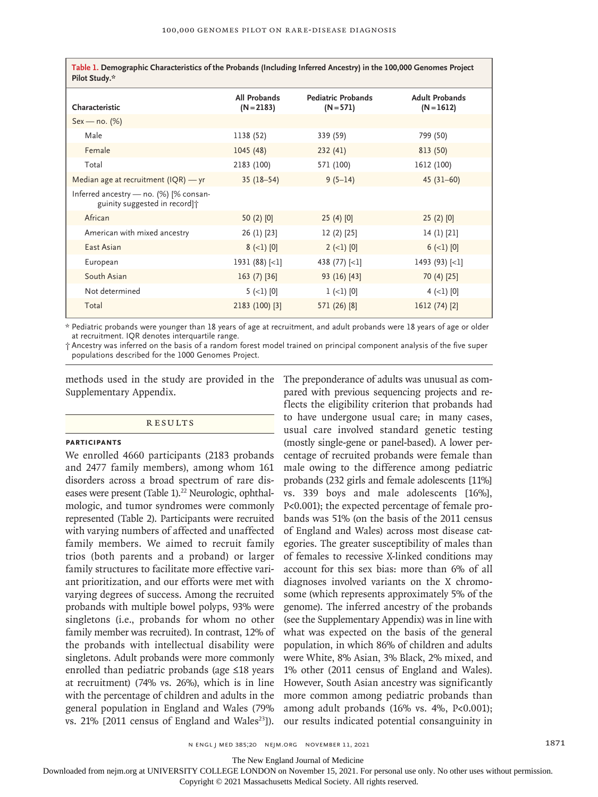| Table 1. Demographic Characteristics of the Probands (Including Inferred Ancestry) in the 100,000 Genomes Project<br>Pilot Study.* |                                              |                                          |                                       |  |  |  |  |
|------------------------------------------------------------------------------------------------------------------------------------|----------------------------------------------|------------------------------------------|---------------------------------------|--|--|--|--|
| Characteristic                                                                                                                     | All Probands<br>$(N = 2183)$                 | <b>Pediatric Probands</b><br>$(N = 571)$ | <b>Adult Probands</b><br>$(N = 1612)$ |  |  |  |  |
| $Sex - no. (%)$                                                                                                                    |                                              |                                          |                                       |  |  |  |  |
| Male                                                                                                                               | 1138 (52)                                    | 339 (59)                                 | 799 (50)                              |  |  |  |  |
| Female                                                                                                                             | 1045(48)                                     | 232(41)                                  | 813 (50)                              |  |  |  |  |
| Total                                                                                                                              | 2183 (100)                                   | 571 (100)                                | 1612 (100)                            |  |  |  |  |
| Median age at recruitment $( IQR)$ — yr                                                                                            | $35(18-54)$                                  | $9(5-14)$                                | $45(31-60)$                           |  |  |  |  |
| Inferred ancestry - no. (%) [% consan-<br>guinity suggested in record] <sup>+</sup>                                                |                                              |                                          |                                       |  |  |  |  |
| African                                                                                                                            | 50(2)[0]                                     | 25(4)[0]                                 | 25(2)[0]                              |  |  |  |  |
| American with mixed ancestry                                                                                                       | 26 (1) [23]                                  | $12(2)$ [25]                             | 14(1)[21]                             |  |  |  |  |
| East Asian                                                                                                                         | $8$ (<1) [0]                                 | $2$ (<1) [0]                             | $6$ (<1) [0]                          |  |  |  |  |
| European                                                                                                                           | 1931 (88) $\left[ \langle 1 \rangle \right]$ | 438 (77) $\left[ \leq 1 \right]$         | 1493 (93) $\left[<1\right]$           |  |  |  |  |
| South Asian                                                                                                                        | $163(7)$ [36]                                | 93 (16) [43]                             | 70 (4) [25]                           |  |  |  |  |
| Not determined                                                                                                                     | $5$ (<1) [0]                                 | $1 (-1) [0]$                             | $4$ (<1) [0]                          |  |  |  |  |
| Total                                                                                                                              | 2183 (100) [3]                               | 571 (26) [8]                             | 1612 (74) [2]                         |  |  |  |  |

\* Pediatric probands were younger than 18 years of age at recruitment, and adult probands were 18 years of age or older at recruitment. IQR denotes interquartile range.

† Ancestry was inferred on the basis of a random forest model trained on principal component analysis of the five super populations described for the 1000 Genomes Project.

methods used in the study are provided in the Supplementary Appendix.

#### **RESULTS**

#### **Participants**

We enrolled 4660 participants (2183 probands and 2477 family members), among whom 161 disorders across a broad spectrum of rare diseases were present (Table 1).<sup>22</sup> Neurologic, ophthalmologic, and tumor syndromes were commonly represented (Table 2). Participants were recruited with varying numbers of affected and unaffected family members. We aimed to recruit family trios (both parents and a proband) or larger family structures to facilitate more effective variant prioritization, and our efforts were met with varying degrees of success. Among the recruited probands with multiple bowel polyps, 93% were singletons (i.e., probands for whom no other family member was recruited). In contrast, 12% of the probands with intellectual disability were singletons. Adult probands were more commonly enrolled than pediatric probands (age ≤18 years at recruitment) (74% vs. 26%), which is in line with the percentage of children and adults in the general population in England and Wales (79% vs.  $21\%$  [2011 census of England and Wales<sup>23</sup>]).

The preponderance of adults was unusual as compared with previous sequencing projects and reflects the eligibility criterion that probands had to have undergone usual care; in many cases, usual care involved standard genetic testing (mostly single-gene or panel-based). A lower percentage of recruited probands were female than male owing to the difference among pediatric probands (232 girls and female adolescents [11%] vs. 339 boys and male adolescents [16%], P<0.001); the expected percentage of female probands was 51% (on the basis of the 2011 census of England and Wales) across most disease categories. The greater susceptibility of males than of females to recessive X-linked conditions may account for this sex bias: more than 6% of all diagnoses involved variants on the X chromosome (which represents approximately 5% of the genome). The inferred ancestry of the probands (see the Supplementary Appendix) was in line with what was expected on the basis of the general population, in which 86% of children and adults were White, 8% Asian, 3% Black, 2% mixed, and 1% other (2011 census of England and Wales). However, South Asian ancestry was significantly more common among pediatric probands than among adult probands (16% vs. 4%, P<0.001); our results indicated potential consanguinity in

The New England Journal of Medicine

Downloaded from nejm.org at UNIVERSITY COLLEGE LONDON on November 15, 2021. For personal use only. No other uses without permission.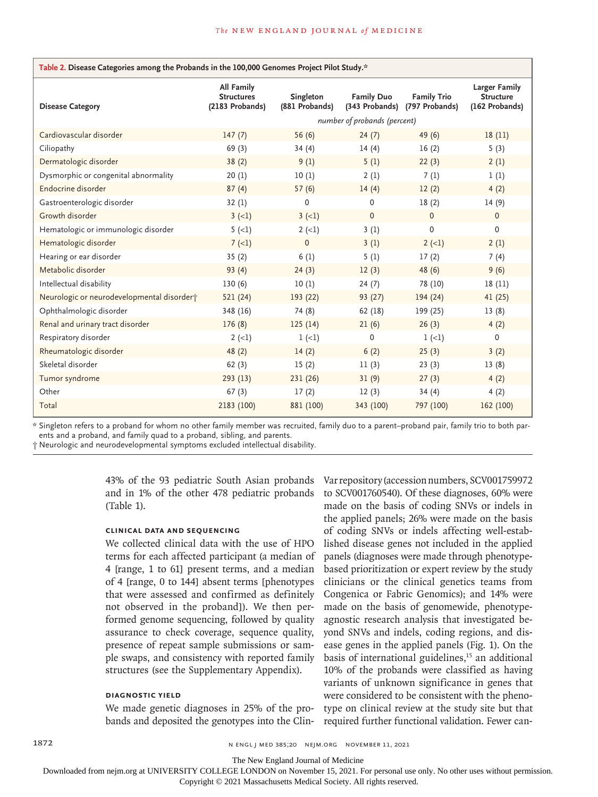| Table 2. Disease Categories among the Probands in the 100,000 Genomes Project Pilot Study.* |                                                           |                             |                   |                                                     |                                                            |  |  |  |
|---------------------------------------------------------------------------------------------|-----------------------------------------------------------|-----------------------------|-------------------|-----------------------------------------------------|------------------------------------------------------------|--|--|--|
| <b>Disease Category</b>                                                                     | <b>All Family</b><br><b>Structures</b><br>(2183 Probands) | Singleton<br>(881 Probands) | <b>Family Duo</b> | <b>Family Trio</b><br>(343 Probands) (797 Probands) | <b>Larger Family</b><br><b>Structure</b><br>(162 Probands) |  |  |  |
|                                                                                             | number of probands (percent)                              |                             |                   |                                                     |                                                            |  |  |  |
| Cardiovascular disorder                                                                     | 147(7)                                                    | 56(6)                       | 24(7)             | 49(6)                                               | 18(11)                                                     |  |  |  |
| Ciliopathy                                                                                  | 69(3)                                                     | 34(4)                       | 14(4)             | 16(2)                                               | 5(3)                                                       |  |  |  |
| Dermatologic disorder                                                                       | 38(2)                                                     | 9(1)                        | 5(1)              | 22(3)                                               | 2(1)                                                       |  |  |  |
| Dysmorphic or congenital abnormality                                                        | 20(1)                                                     | 10(1)                       | 2(1)              | 7(1)                                                | 1(1)                                                       |  |  |  |
| Endocrine disorder                                                                          | 87(4)                                                     | 57(6)                       | 14(4)             | 12(2)                                               | 4(2)                                                       |  |  |  |
| Gastroenterologic disorder                                                                  | 32(1)                                                     | $\mathbf 0$                 | 0                 | 18(2)                                               | 14(9)                                                      |  |  |  |
| Growth disorder                                                                             | $3 (-1)$                                                  | $3 (-1)$                    | $\mathbf{0}$      | $\Omega$                                            | $\mathbf{0}$                                               |  |  |  |
| Hematologic or immunologic disorder                                                         | $5(-1)$                                                   | $2(-1)$                     | 3(1)              | $\Omega$                                            | $\mathbf{0}$                                               |  |  |  |
| Hematologic disorder                                                                        | $7 (-1)$                                                  | $\mathbf{0}$                | 3(1)              | $2 (-1)$                                            | 2(1)                                                       |  |  |  |
| Hearing or ear disorder                                                                     | 35(2)                                                     | 6(1)                        | 5(1)              | 17(2)                                               | 7(4)                                                       |  |  |  |
| Metabolic disorder                                                                          | 93(4)                                                     | 24(3)                       | 12(3)             | 48(6)                                               | 9(6)                                                       |  |  |  |
| Intellectual disability                                                                     | 130(6)                                                    | 10(1)                       | 24(7)             | 78 (10)                                             | 18(11)                                                     |  |  |  |
| Neurologic or neurodevelopmental disorder <sup>+</sup>                                      | 521 (24)                                                  | 193 (22)                    | 93(27)            | 194 (24)                                            | 41(25)                                                     |  |  |  |
| Ophthalmologic disorder                                                                     | 348 (16)                                                  | 74 (8)                      | 62 (18)           | 199 (25)                                            | 13(8)                                                      |  |  |  |
| Renal and urinary tract disorder                                                            | 176(8)                                                    | 125(14)                     | 21(6)             | 26(3)                                               | 4(2)                                                       |  |  |  |
| Respiratory disorder                                                                        | $2 (-1)$                                                  | $1 (-1)$                    | 0                 | $1 (-1)$                                            | $\mathbf{0}$                                               |  |  |  |
| Rheumatologic disorder                                                                      | 48(2)                                                     | 14(2)                       | 6(2)              | 25(3)                                               | 3(2)                                                       |  |  |  |
| Skeletal disorder                                                                           | 62(3)                                                     | 15(2)                       | 11(3)             | 23(3)                                               | 13(8)                                                      |  |  |  |
| Tumor syndrome                                                                              | 293 (13)                                                  | 231(26)                     | 31(9)             | 27(3)                                               | 4(2)                                                       |  |  |  |
| Other                                                                                       | 67(3)                                                     | 17(2)                       | 12(3)             | 34(4)                                               | 4(2)                                                       |  |  |  |
| Total                                                                                       | 2183 (100)                                                | 881 (100)                   | 343 (100)         | 797 (100)                                           | 162 (100)                                                  |  |  |  |

\* Singleton refers to a proband for whom no other family member was recruited, family duo to a parent–proband pair, family trio to both parents and a proband, and family quad to a proband, sibling, and parents.

† Neurologic and neurodevelopmental symptoms excluded intellectual disability.

43% of the 93 pediatric South Asian probands and in 1% of the other 478 pediatric probands (Table 1).

#### **Clinical Data and Sequencing**

We collected clinical data with the use of HPO terms for each affected participant (a median of 4 [range, 1 to 61] present terms, and a median of 4 [range, 0 to 144] absent terms [phenotypes that were assessed and confirmed as definitely not observed in the proband]). We then performed genome sequencing, followed by quality assurance to check coverage, sequence quality, presence of repeat sample submissions or sample swaps, and consistency with reported family structures (see the Supplementary Appendix).

# **Diagnostic Yield**

We made genetic diagnoses in 25% of the probands and deposited the genotypes into the ClinVar repository (accession numbers, SCV001759972 to SCV001760540). Of these diagnoses, 60% were made on the basis of coding SNVs or indels in the applied panels; 26% were made on the basis of coding SNVs or indels affecting well-established disease genes not included in the applied panels (diagnoses were made through phenotypebased prioritization or expert review by the study clinicians or the clinical genetics teams from Congenica or Fabric Genomics); and 14% were made on the basis of genomewide, phenotypeagnostic research analysis that investigated beyond SNVs and indels, coding regions, and disease genes in the applied panels (Fig. 1). On the basis of international guidelines, $15$  an additional 10% of the probands were classified as having variants of unknown significance in genes that were considered to be consistent with the phenotype on clinical review at the study site but that required further functional validation. Fewer can-

1872 **n engl j med 385;20 nejm.org November 11, 2021** 

The New England Journal of Medicine

Downloaded from nejm.org at UNIVERSITY COLLEGE LONDON on November 15, 2021. For personal use only. No other uses without permission.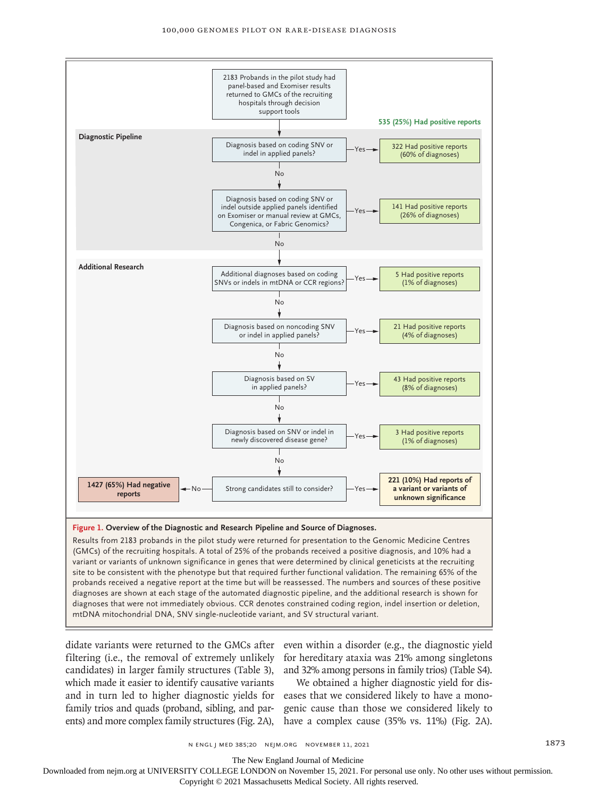

#### **Figure 1. Overview of the Diagnostic and Research Pipeline and Source of Diagnoses.**

Results from 2183 probands in the pilot study were returned for presentation to the Genomic Medicine Centres (GMCs) of the recruiting hospitals. A total of 25% of the probands received a positive diagnosis, and 10% had a variant or variants of unknown significance in genes that were determined by clinical geneticists at the recruiting site to be consistent with the phenotype but that required further functional validation. The remaining 65% of the probands received a negative report at the time but will be reassessed. The numbers and sources of these positive diagnoses are shown at each stage of the automated diagnostic pipeline, and the additional research is shown for diagnoses that were not immediately obvious. CCR denotes constrained coding region, indel insertion or deletion, mtDNA mitochondrial DNA, SNV single-nucleotide variant, and SV structural variant.

candidates) in larger family structures (Table 3), which made it easier to identify causative variants and in turn led to higher diagnostic yields for family trios and quads (proband, sibling, and parents) and more complex family structures (Fig. 2A),

didate variants were returned to the GMCs after even within a disorder (e.g., the diagnostic yield filtering (i.e., the removal of extremely unlikely for hereditary ataxia was 21% among singletons and 32% among persons in family trios) (Table S4).

> We obtained a higher diagnostic yield for diseases that we considered likely to have a monogenic cause than those we considered likely to have a complex cause (35% vs. 11%) (Fig. 2A).

n engl j med 385;20 nejm.org November 11, 2021 1873

The New England Journal of Medicine

Downloaded from nejm.org at UNIVERSITY COLLEGE LONDON on November 15, 2021. For personal use only. No other uses without permission.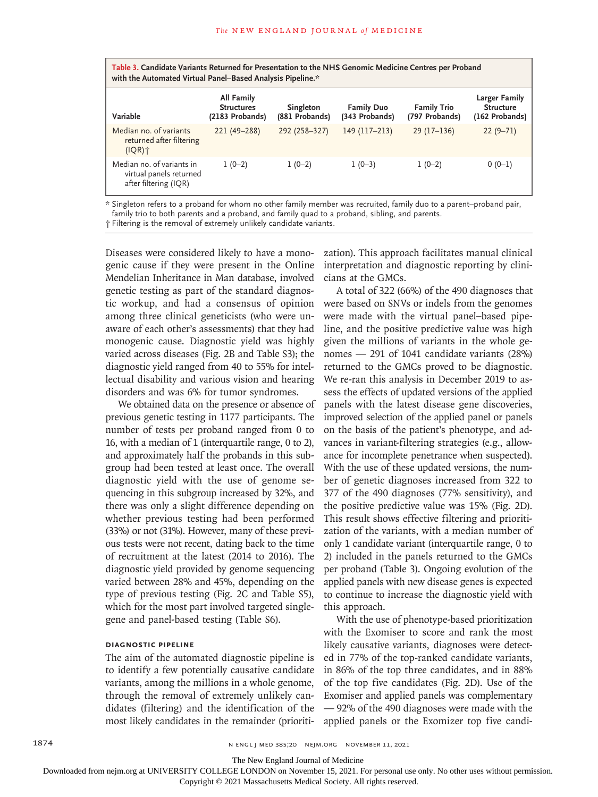**Table 3. Candidate Variants Returned for Presentation to the NHS Genomic Medicine Centres per Proband with the Automated Virtual Panel–Based Analysis Pipeline.\***

| Variable                                                                      | <b>All Family</b><br><b>Structures</b><br>(2183 Probands) | Singleton<br>(881 Probands) | <b>Family Duo</b><br>(343 Probands) | <b>Family Trio</b><br>(797 Probands) | <b>Larger Family</b><br><b>Structure</b><br>(162 Probands) |
|-------------------------------------------------------------------------------|-----------------------------------------------------------|-----------------------------|-------------------------------------|--------------------------------------|------------------------------------------------------------|
| Median no. of variants<br>returned after filtering<br>$I(QR)$ <sup>+</sup>    | $221(49 - 288)$                                           | 292 (258-327)               | 149 (117-213)                       | $29(17-136)$                         | $22(9-71)$                                                 |
| Median no. of variants in<br>virtual panels returned<br>after filtering (IQR) | $1(0-2)$                                                  | $1(0-2)$                    | $1(0-3)$                            | $1(0-2)$                             | $0(0-1)$                                                   |

\* Singleton refers to a proband for whom no other family member was recruited, family duo to a parent–proband pair, family trio to both parents and a proband, and family quad to a proband, sibling, and parents.

† Filtering is the removal of extremely unlikely candidate variants.

Diseases were considered likely to have a monogenic cause if they were present in the Online Mendelian Inheritance in Man database, involved genetic testing as part of the standard diagnostic workup, and had a consensus of opinion among three clinical geneticists (who were unaware of each other's assessments) that they had monogenic cause. Diagnostic yield was highly varied across diseases (Fig. 2B and Table S3); the diagnostic yield ranged from 40 to 55% for intellectual disability and various vision and hearing disorders and was 6% for tumor syndromes.

We obtained data on the presence or absence of previous genetic testing in 1177 participants. The number of tests per proband ranged from 0 to 16, with a median of 1 (interquartile range, 0 to 2), and approximately half the probands in this subgroup had been tested at least once. The overall diagnostic yield with the use of genome sequencing in this subgroup increased by 32%, and there was only a slight difference depending on whether previous testing had been performed (33%) or not (31%). However, many of these previous tests were not recent, dating back to the time of recruitment at the latest (2014 to 2016). The diagnostic yield provided by genome sequencing varied between 28% and 45%, depending on the type of previous testing (Fig. 2C and Table S5), which for the most part involved targeted singlegene and panel-based testing (Table S6).

#### **Diagnostic Pipeline**

The aim of the automated diagnostic pipeline is to identify a few potentially causative candidate variants, among the millions in a whole genome, through the removal of extremely unlikely candidates (filtering) and the identification of the most likely candidates in the remainder (prioritization). This approach facilitates manual clinical interpretation and diagnostic reporting by clinicians at the GMCs.

A total of 322 (66%) of the 490 diagnoses that were based on SNVs or indels from the genomes were made with the virtual panel–based pipeline, and the positive predictive value was high given the millions of variants in the whole genomes — 291 of 1041 candidate variants (28%) returned to the GMCs proved to be diagnostic. We re-ran this analysis in December 2019 to assess the effects of updated versions of the applied panels with the latest disease gene discoveries, improved selection of the applied panel or panels on the basis of the patient's phenotype, and advances in variant-filtering strategies (e.g., allowance for incomplete penetrance when suspected). With the use of these updated versions, the number of genetic diagnoses increased from 322 to 377 of the 490 diagnoses (77% sensitivity), and the positive predictive value was 15% (Fig. 2D). This result shows effective filtering and prioritization of the variants, with a median number of only 1 candidate variant (interquartile range, 0 to 2) included in the panels returned to the GMCs per proband (Table 3). Ongoing evolution of the applied panels with new disease genes is expected to continue to increase the diagnostic yield with this approach.

With the use of phenotype-based prioritization with the Exomiser to score and rank the most likely causative variants, diagnoses were detected in 77% of the top-ranked candidate variants, in 86% of the top three candidates, and in 88% of the top five candidates (Fig. 2D). Use of the Exomiser and applied panels was complementary — 92% of the 490 diagnoses were made with the applied panels or the Exomizer top five candi-

The New England Journal of Medicine

Downloaded from nejm.org at UNIVERSITY COLLEGE LONDON on November 15, 2021. For personal use only. No other uses without permission.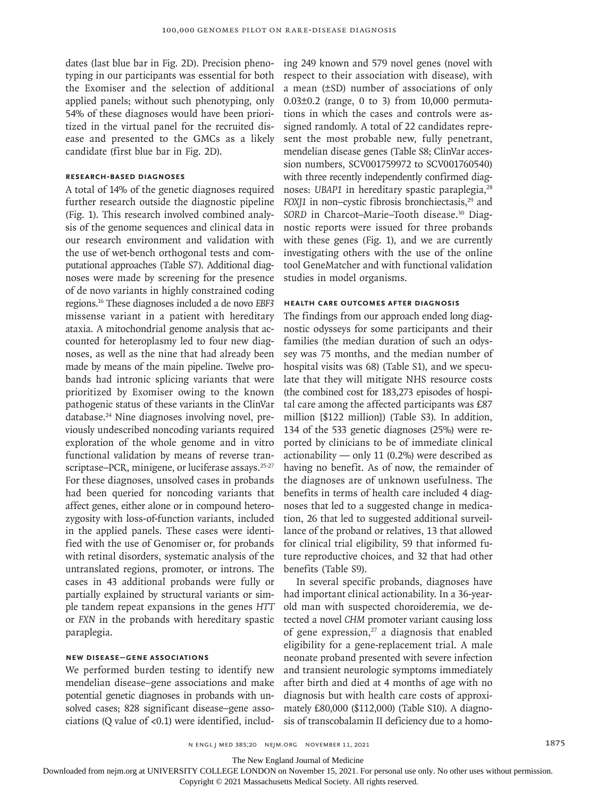dates (last blue bar in Fig. 2D). Precision phenotyping in our participants was essential for both the Exomiser and the selection of additional applied panels; without such phenotyping, only 54% of these diagnoses would have been prioritized in the virtual panel for the recruited disease and presented to the GMCs as a likely candidate (first blue bar in Fig. 2D).

# **Research-Based Diagnoses**

A total of 14% of the genetic diagnoses required further research outside the diagnostic pipeline (Fig. 1). This research involved combined analysis of the genome sequences and clinical data in our research environment and validation with the use of wet-bench orthogonal tests and computational approaches (Table S7). Additional diagnoses were made by screening for the presence of de novo variants in highly constrained coding regions.16 These diagnoses included a de novo *EBF3* missense variant in a patient with hereditary ataxia. A mitochondrial genome analysis that accounted for heteroplasmy led to four new diagnoses, as well as the nine that had already been made by means of the main pipeline. Twelve probands had intronic splicing variants that were prioritized by Exomiser owing to the known pathogenic status of these variants in the ClinVar database.<sup>24</sup> Nine diagnoses involving novel, previously undescribed noncoding variants required exploration of the whole genome and in vitro functional validation by means of reverse transcriptase–PCR, minigene, or luciferase assays.<sup>25-27</sup> For these diagnoses, unsolved cases in probands had been queried for noncoding variants that affect genes, either alone or in compound heterozygosity with loss-of-function variants, included in the applied panels. These cases were identified with the use of Genomiser or, for probands with retinal disorders, systematic analysis of the untranslated regions, promoter, or introns. The cases in 43 additional probands were fully or partially explained by structural variants or simple tandem repeat expansions in the genes *HTT* or *FXN* in the probands with hereditary spastic paraplegia.

# **New Disease–Gene Associations**

We performed burden testing to identify new mendelian disease–gene associations and make potential genetic diagnoses in probands with unsolved cases; 828 significant disease–gene associations (Q value of <0.1) were identified, including 249 known and 579 novel genes (novel with respect to their association with disease), with a mean (±SD) number of associations of only 0.03±0.2 (range, 0 to 3) from 10,000 permutations in which the cases and controls were assigned randomly. A total of 22 candidates represent the most probable new, fully penetrant, mendelian disease genes (Table S8; ClinVar accession numbers, SCV001759972 to SCV001760540) with three recently independently confirmed diagnoses: UBAP1 in hereditary spastic paraplegia,<sup>28</sup> *FOXJ1* in non–cystic fibrosis bronchiectasis,<sup>29</sup> and SORD in Charcot–Marie–Tooth disease.<sup>30</sup> Diagnostic reports were issued for three probands with these genes (Fig. 1), and we are currently investigating others with the use of the online tool GeneMatcher and with functional validation studies in model organisms.

#### **Health Care Outcomes after Diagnosis**

The findings from our approach ended long diagnostic odysseys for some participants and their families (the median duration of such an odyssey was 75 months, and the median number of hospital visits was 68) (Table S1), and we speculate that they will mitigate NHS resource costs (the combined cost for 183,273 episodes of hospital care among the affected participants was £87 million [\$122 million]) (Table S3). In addition, 134 of the 533 genetic diagnoses (25%) were reported by clinicians to be of immediate clinical actionability — only 11 (0.2%) were described as having no benefit. As of now, the remainder of the diagnoses are of unknown usefulness. The benefits in terms of health care included 4 diagnoses that led to a suggested change in medication, 26 that led to suggested additional surveillance of the proband or relatives, 13 that allowed for clinical trial eligibility, 59 that informed future reproductive choices, and 32 that had other benefits (Table S9).

In several specific probands, diagnoses have had important clinical actionability. In a 36-yearold man with suspected choroideremia, we detected a novel *CHM* promoter variant causing loss of gene expression,<sup>27</sup> a diagnosis that enabled eligibility for a gene-replacement trial. A male neonate proband presented with severe infection and transient neurologic symptoms immediately after birth and died at 4 months of age with no diagnosis but with health care costs of approximately £80,000 (\$112,000) (Table S10). A diagnosis of transcobalamin II deficiency due to a homo-

n engl j med 385;20 Nejm.org November 11, 2021 1875

The New England Journal of Medicine

Downloaded from nejm.org at UNIVERSITY COLLEGE LONDON on November 15, 2021. For personal use only. No other uses without permission.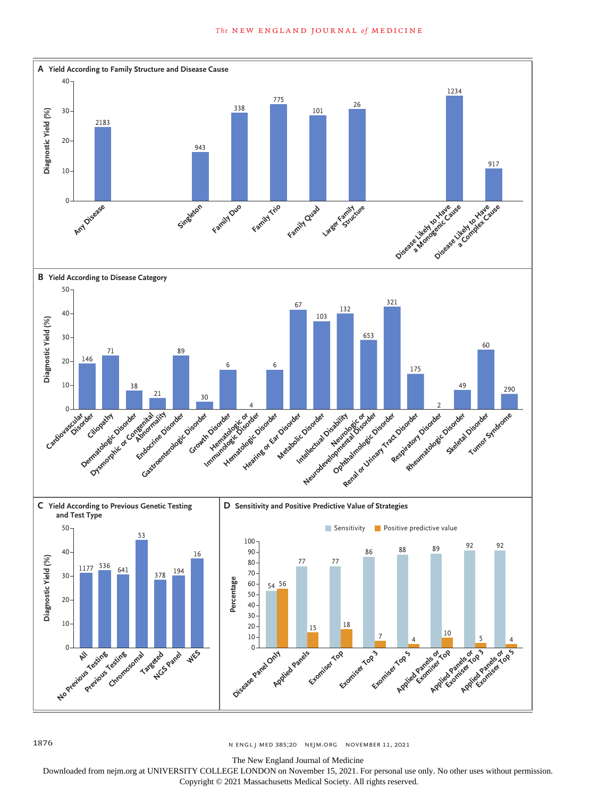



1876 **n engl j med 385;20 n engl j med 385;20 n** engl j med 385;20 n engl j med 385;20 n engl d and the 11, 2021

The New England Journal of Medicine

Downloaded from nejm.org at UNIVERSITY COLLEGE LONDON on November 15, 2021. For personal use only. No other uses without permission.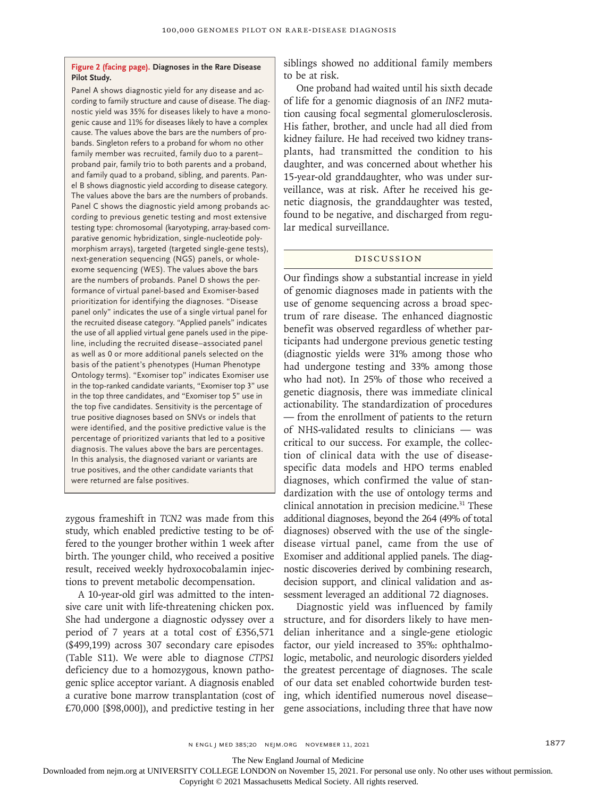#### **Figure 2 (facing page). Diagnoses in the Rare Disease Pilot Study.**

Panel A shows diagnostic yield for any disease and according to family structure and cause of disease. The diagnostic yield was 35% for diseases likely to have a monogenic cause and 11% for diseases likely to have a complex cause. The values above the bars are the numbers of probands. Singleton refers to a proband for whom no other family member was recruited, family duo to a parent– proband pair, family trio to both parents and a proband, and family quad to a proband, sibling, and parents. Panel B shows diagnostic yield according to disease category. The values above the bars are the numbers of probands. Panel C shows the diagnostic yield among probands according to previous genetic testing and most extensive testing type: chromosomal (karyotyping, array-based comparative genomic hybridization, single-nucleotide polymorphism arrays), targeted (targeted single-gene tests), next-generation sequencing (NGS) panels, or wholeexome sequencing (WES). The values above the bars are the numbers of probands. Panel D shows the performance of virtual panel-based and Exomiser-based prioritization for identifying the diagnoses. "Disease panel only" indicates the use of a single virtual panel for the recruited disease category. "Applied panels" indicates the use of all applied virtual gene panels used in the pipeline, including the recruited disease–associated panel as well as 0 or more additional panels selected on the basis of the patient's phenotypes (Human Phenotype Ontology terms). "Exomiser top" indicates Exomiser use in the top-ranked candidate variants, "Exomiser top 3" use in the top three candidates, and "Exomiser top 5" use in the top five candidates. Sensitivity is the percentage of true positive diagnoses based on SNVs or indels that were identified, and the positive predictive value is the percentage of prioritized variants that led to a positive diagnosis. The values above the bars are percentages. In this analysis, the diagnosed variant or variants are true positives, and the other candidate variants that were returned are false positives.

zygous frameshift in *TCN2* was made from this study, which enabled predictive testing to be offered to the younger brother within 1 week after birth. The younger child, who received a positive result, received weekly hydroxocobalamin injections to prevent metabolic decompensation.

A 10-year-old girl was admitted to the intensive care unit with life-threatening chicken pox. She had undergone a diagnostic odyssey over a period of 7 years at a total cost of £356,571 (\$499,199) across 307 secondary care episodes (Table S11). We were able to diagnose *CTPS1* deficiency due to a homozygous, known pathogenic splice acceptor variant. A diagnosis enabled a curative bone marrow transplantation (cost of £70,000 [\$98,000]), and predictive testing in her

siblings showed no additional family members to be at risk.

One proband had waited until his sixth decade of life for a genomic diagnosis of an *INF2* mutation causing focal segmental glomerulosclerosis. His father, brother, and uncle had all died from kidney failure. He had received two kidney transplants, had transmitted the condition to his daughter, and was concerned about whether his 15-year-old granddaughter, who was under surveillance, was at risk. After he received his genetic diagnosis, the granddaughter was tested, found to be negative, and discharged from regular medical surveillance.

#### Discussion

Our findings show a substantial increase in yield of genomic diagnoses made in patients with the use of genome sequencing across a broad spectrum of rare disease. The enhanced diagnostic benefit was observed regardless of whether participants had undergone previous genetic testing (diagnostic yields were 31% among those who had undergone testing and 33% among those who had not). In 25% of those who received a genetic diagnosis, there was immediate clinical actionability. The standardization of procedures — from the enrollment of patients to the return of NHS-validated results to clinicians — was critical to our success. For example, the collection of clinical data with the use of diseasespecific data models and HPO terms enabled diagnoses, which confirmed the value of standardization with the use of ontology terms and clinical annotation in precision medicine.<sup>31</sup> These additional diagnoses, beyond the 264 (49% of total diagnoses) observed with the use of the singledisease virtual panel, came from the use of Exomiser and additional applied panels. The diagnostic discoveries derived by combining research, decision support, and clinical validation and assessment leveraged an additional 72 diagnoses.

Diagnostic yield was influenced by family structure, and for disorders likely to have mendelian inheritance and a single-gene etiologic factor, our yield increased to 35%: ophthalmologic, metabolic, and neurologic disorders yielded the greatest percentage of diagnoses. The scale of our data set enabled cohortwide burden testing, which identified numerous novel disease– gene associations, including three that have now

The New England Journal of Medicine

Downloaded from nejm.org at UNIVERSITY COLLEGE LONDON on November 15, 2021. For personal use only. No other uses without permission.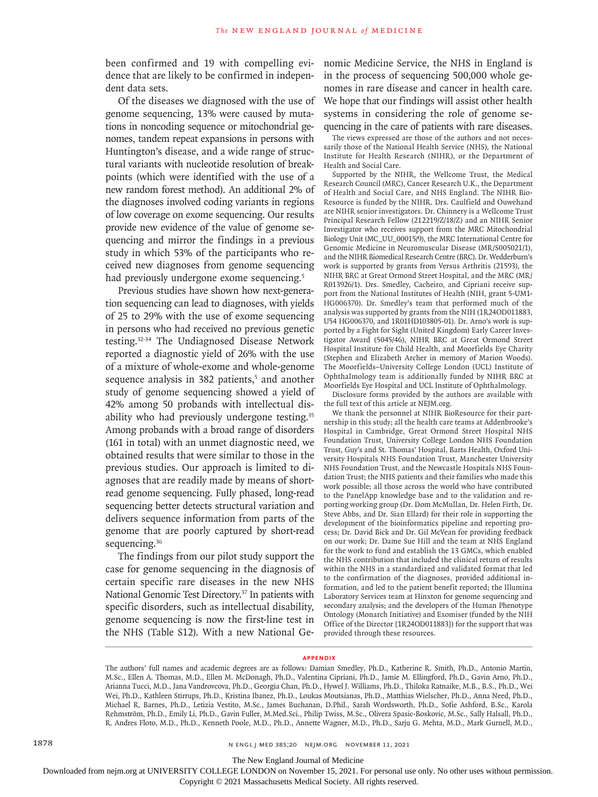been confirmed and 19 with compelling evidence that are likely to be confirmed in independent data sets.

Of the diseases we diagnosed with the use of genome sequencing, 13% were caused by mutations in noncoding sequence or mitochondrial genomes, tandem repeat expansions in persons with Huntington's disease, and a wide range of structural variants with nucleotide resolution of breakpoints (which were identified with the use of a new random forest method). An additional 2% of the diagnoses involved coding variants in regions of low coverage on exome sequencing. Our results provide new evidence of the value of genome sequencing and mirror the findings in a previous study in which 53% of the participants who received new diagnoses from genome sequencing had previously undergone exome sequencing.<sup>5</sup>

Previous studies have shown how next-generation sequencing can lead to diagnoses, with yields of 25 to 29% with the use of exome sequencing in persons who had received no previous genetic testing.32-34 The Undiagnosed Disease Network reported a diagnostic yield of 26% with the use of a mixture of whole-exome and whole-genome sequence analysis in 382 patients,<sup>5</sup> and another study of genome sequencing showed a yield of 42% among 50 probands with intellectual disability who had previously undergone testing.<sup>35</sup> Among probands with a broad range of disorders (161 in total) with an unmet diagnostic need, we obtained results that were similar to those in the previous studies. Our approach is limited to diagnoses that are readily made by means of shortread genome sequencing. Fully phased, long-read sequencing better detects structural variation and delivers sequence information from parts of the genome that are poorly captured by short-read sequencing.<sup>36</sup>

The findings from our pilot study support the case for genome sequencing in the diagnosis of certain specific rare diseases in the new NHS National Genomic Test Directory.<sup>37</sup> In patients with specific disorders, such as intellectual disability, genome sequencing is now the first-line test in the NHS (Table S12). With a new National Genomic Medicine Service, the NHS in England is in the process of sequencing 500,000 whole genomes in rare disease and cancer in health care. We hope that our findings will assist other health systems in considering the role of genome sequencing in the care of patients with rare diseases.

The views expressed are those of the authors and not necessarily those of the National Health Service (NHS), the National Institute for Health Research (NIHR), or the Department of Health and Social Care.

Supported by the NIHR, the Wellcome Trust, the Medical Research Council (MRC), Cancer Research U.K., the Department of Health and Social Care, and NHS England. The NIHR Bio-Resource is funded by the NIHR. Drs. Caulfield and Ouwehand are NIHR senior investigators. Dr. Chinnery is a Wellcome Trust Principal Research Fellow (212219/Z/18/Z) and an NIHR Senior Investigator who receives support from the MRC Mitochondrial Biology Unit (MC\_UU\_00015/9), the MRC International Centre for Genomic Medicine in Neuromuscular Disease (MR/S005021/1), and the NIHR Biomedical Research Centre (BRC). Dr. Wedderburn's work is supported by grants from Versus Arthritis (21593), the NIHR BRC at Great Ormond Street Hospital, and the MRC (MR/ R013926/1). Drs. Smedley, Cacheiro, and Cipriani receive support from the National Institutes of Health (NIH, grant 5-UM1- HG006370). Dr. Smedley's team that performed much of the analysis was supported by grants from the NIH (1R24OD011883, U54 HG006370, and 1R01HD103805-01). Dr. Arno's work is supported by a Fight for Sight (United Kingdom) Early Career Investigator Award (5045/46), NIHR BRC at Great Ormond Street Hospital Institute for Child Health, and Moorfields Eye Charity (Stephen and Elizabeth Archer in memory of Marion Woods). The Moorfields–University College London (UCL) Institute of Ophthalmology team is additionally funded by NIHR BRC at Moorfields Eye Hospital and UCL Institute of Ophthalmology.

Disclosure forms provided by the authors are available with the full text of this article at NEJM.org.

We thank the personnel at NIHR BioResource for their partnership in this study; all the health care teams at Addenbrooke's Hospital in Cambridge, Great Ormond Street Hospital NHS Foundation Trust, University College London NHS Foundation Trust, Guy's and St. Thomas' Hospital, Barts Health, Oxford University Hospitals NHS Foundation Trust, Manchester University NHS Foundation Trust, and the Newcastle Hospitals NHS Foundation Trust; the NHS patients and their families who made this work possible; all those across the world who have contributed to the PanelApp knowledge base and to the validation and reporting working group (Dr. Dom McMullan, Dr. Helen Firth, Dr. Steve Abbs, and Dr. Sian Ellard) for their role in supporting the development of the bioinformatics pipeline and reporting process; Dr. David Bick and Dr. Gil McVean for providing feedback on our work; Dr. Dame Sue Hill and the team at NHS England for the work to fund and establish the 13 GMCs, which enabled the NHS contribution that included the clinical return of results within the NHS in a standardized and validated format that led to the confirmation of the diagnoses, provided additional information, and led to the patient benefit reported; the Illumina Laboratory Services team at Hinxton for genome sequencing and secondary analysis; and the developers of the Human Phenotype Ontology (Monarch Initiative) and Exomiser (funded by the NIH Office of the Director [1R24OD011883]) for the support that was provided through these resources.

#### **Appendix**

The authors' full names and academic degrees are as follows: Damian Smedley, Ph.D., Katherine R. Smith, Ph.D., Antonio Martin, M.Sc., Ellen A. Thomas, M.D., Ellen M. McDonagh, Ph.D., Valentina Cipriani, Ph.D., Jamie M. Ellingford, Ph.D., Gavin Arno, Ph.D., Arianna Tucci, M.D., Jana Vandrovcova, Ph.D., Georgia Chan, Ph.D., Hywel J. Williams, Ph.D., Thiloka Ratnaike, M.B., B.S., Ph.D., Wei Wei, Ph.D., Kathleen Stirrups, Ph.D., Kristina Ibanez, Ph.D., Loukas Moutsianas, Ph.D., Matthias Wielscher, Ph.D., Anna Need, Ph.D., Michael R. Barnes, Ph.D., Letizia Vestito, M.Sc., James Buchanan, D.Phil., Sarah Wordsworth, Ph.D., Sofie Ashford, B.Sc., Karola Rehmström, Ph.D., Emily Li, Ph.D., Gavin Fuller, M.Med.Sci., Philip Twiss, M.Sc., Olivera Spasic-Boskovic, M.Sc., Sally Halsall, Ph.D., R. Andres Floto, M.D., Ph.D., Kenneth Poole, M.D., Ph.D., Annette Wagner, M.D., Ph.D., Sarju G. Mehta, M.D., Mark Gurnell, M.D.,

1878 n engl j med 385;20 nejm.org November 11, 2021

The New England Journal of Medicine

Downloaded from nejm.org at UNIVERSITY COLLEGE LONDON on November 15, 2021. For personal use only. No other uses without permission.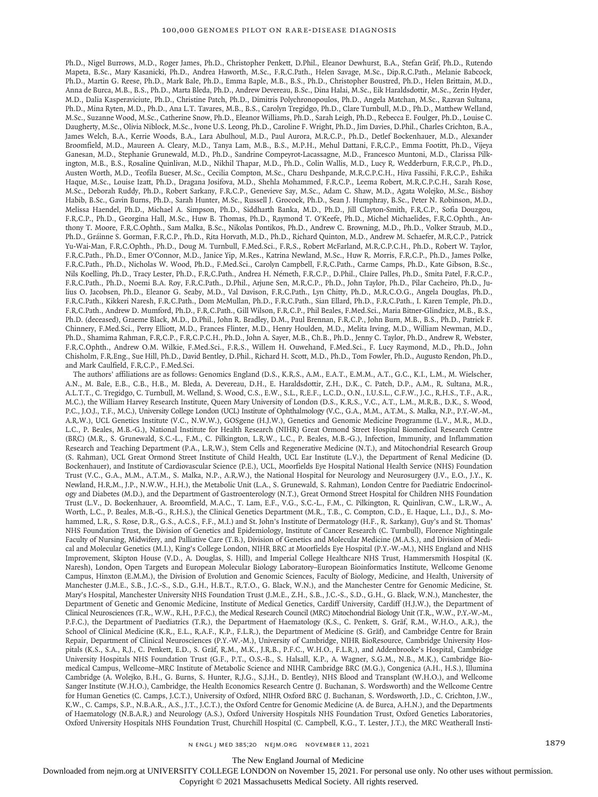Ph.D., Nigel Burrows, M.D., Roger James, Ph.D., Christopher Penkett, D.Phil., Eleanor Dewhurst, B.A., Stefan Gräf, Ph.D., Rutendo Mapeta, B.Sc., Mary Kasanicki, Ph.D., Andrea Haworth, M.Sc., F.R.C.Path., Helen Savage, M.Sc., Dip.R.C.Path., Melanie Babcock, Ph.D., Martin G. Reese, Ph.D., Mark Bale, Ph.D., Emma Baple, M.B., B.S., Ph.D., Christopher Boustred, Ph.D., Helen Brittain, M.D., Anna de Burca, M.B., B.S., Ph.D., Marta Bleda, Ph.D., Andrew Devereau, B.Sc., Dina Halai, M.Sc., Eik Haraldsdottir, M.Sc., Zerin Hyder, M.D., Dalia Kasperaviciute, Ph.D., Christine Patch, Ph.D., Dimitris Polychronopoulos, Ph.D., Angela Matchan, M.Sc., Razvan Sultana, Ph.D., Mina Ryten, M.D., Ph.D., Ana L.T. Tavares, M.B., B.S., Carolyn Tregidgo, Ph.D., Clare Turnbull, M.D., Ph.D., Matthew Welland, M.Sc., Suzanne Wood, M.Sc., Catherine Snow, Ph.D., Eleanor Williams, Ph.D., Sarah Leigh, Ph.D., Rebecca E. Foulger, Ph.D., Louise C. Daugherty, M.Sc., Olivia Niblock, M.Sc., Ivone U.S. Leong, Ph.D., Caroline F. Wright, Ph.D., Jim Davies, D.Phil., Charles Crichton, B.A., James Welch, B.A., Kerrie Woods, B.A., Lara Abulhoul, M.D., Paul Aurora, M.R.C.P., Ph.D., Detlef Bockenhauer, M.D., Alexander Broomfield, M.D., Maureen A. Cleary, M.D., Tanya Lam, M.B., B.S., M.P.H., Mehul Dattani, F.R.C.P., Emma Footitt, Ph.D., Vijeya Ganesan, M.D., Stephanie Grunewald, M.D., Ph.D., Sandrine Compeyrot-Lacassagne, M.D., Francesco Muntoni, M.D., Clarissa Pilkington, M.B., B.S., Rosaline Quinlivan, M.D., Nikhil Thapar, M.D., Ph.D., Colin Wallis, M.D., Lucy R. Wedderburn, F.R.C.P., Ph.D., Austen Worth, M.D., Teofila Bueser, M.Sc., Cecilia Compton, M.Sc., Charu Deshpande, M.R.C.P.C.H., Hiva Fassihi, F.R.C.P., Eshika Haque, M.Sc., Louise Izatt, Ph.D., Dragana Josifova, M.D., Shehla Mohammed, F.R.C.P., Leema Robert, M.R.C.P.C.H., Sarah Rose, M.Sc., Deborah Ruddy, Ph.D., Robert Sarkany, F.R.C.P., Genevieve Say, M.Sc., Adam C. Shaw, M.D., Agata Wolejko, M.Sc., Bishoy Habib, B.Sc., Gavin Burns, Ph.D., Sarah Hunter, M.Sc., Russell J. Grocock, Ph.D., Sean J. Humphray, B.Sc., Peter N. Robinson, M.D., Melissa Haendel, Ph.D., Michael A. Simpson, Ph.D., Siddharth Banka, M.D., Ph.D., Jill Clayton-Smith, F.R.C.P., Sofia Douzgou, F.R.C.P., Ph.D., Georgina Hall, M.Sc., Huw B. Thomas, Ph.D., Raymond T. O'Keefe, Ph.D., Michel Michaelides, F.R.C.Ophth., Anthony T. Moore, F.R.C.Ophth., Sam Malka, B.Sc., Nikolas Pontikos, Ph.D., Andrew C. Browning, M.D., Ph.D., Volker Straub, M.D., Ph.D., Gráinne S. Gorman, F.R.C.P., Ph.D., Rita Horvath, M.D., Ph.D., Richard Quinton, M.D., Andrew M. Schaefer, M.R.C.P., Patrick Yu-Wai-Man, F.R.C.Ophth., Ph.D., Doug M. Turnbull, F.Med.Sci., F.R.S., Robert McFarland, M.R.C.P.C.H., Ph.D., Robert W. Taylor, F.R.C.Path., Ph.D., Emer O'Connor, M.D., Janice Yip, M.Res., Katrina Newland, M.Sc., Huw R. Morris, F.R.C.P., Ph.D., James Polke, F.R.C.Path., Ph.D., Nicholas W. Wood, Ph.D., F.Med.Sci., Carolyn Campbell, F.R.C.Path., Carme Camps, Ph.D., Kate Gibson, B.Sc., Nils Koelling, Ph.D., Tracy Lester, Ph.D., F.R.C.Path., Andrea H. Németh, F.R.C.P., D.Phil., Claire Palles, Ph.D., Smita Patel, F.R.C.P., F.R.C.Path., Ph.D., Noemi B.A. Roy, F.R.C.Path., D.Phil., Arjune Sen, M.R.C.P., Ph.D., John Taylor, Ph.D., Pilar Cacheiro, Ph.D., Julius O. Jacobsen, Ph.D., Eleanor G. Seaby, M.D., Val Davison, F.R.C.Path., Lyn Chitty, Ph.D., M.R.C.O.G., Angela Douglas, Ph.D., F.R.C.Path., Kikkeri Naresh, F.R.C.Path., Dom McMullan, Ph.D., F.R.C.Path., Sian Ellard, Ph.D., F.R.C.Path., I. Karen Temple, Ph.D., F.R.C.Path., Andrew D. Mumford, Ph.D., F.R.C.Path., Gill Wilson, F.R.C.P., Phil Beales, F.Med.Sci., Maria Bitner-Glindzicz, M.B., B.S., Ph.D. (deceased), Graeme Black, M.D., D.Phil., John R. Bradley, D.M., Paul Brennan, F.R.C.P., John Burn, M.B., B.S., Ph.D., Patrick F. Chinnery, F.Med.Sci., Perry Elliott, M.D., Frances Flinter, M.D., Henry Houlden, M.D., Melita Irving, M.D., William Newman, M.D., Ph.D., Shamima Rahman, F.R.C.P., F.R.C.P.C.H., Ph.D., John A. Sayer, M.B., Ch.B., Ph.D., Jenny C. Taylor, Ph.D., Andrew R. Webster, F.R.C.Ophth., Andrew O.M. Wilkie, F.Med.Sci., F.R.S., Willem H. Ouwehand, F.Med.Sci., F. Lucy Raymond, M.D., Ph.D., John Chisholm, F.R.Eng., Sue Hill, Ph.D., David Bentley, D.Phil., Richard H. Scott, M.D., Ph.D., Tom Fowler, Ph.D., Augusto Rendon, Ph.D., and Mark Caulfield, F.R.C.P., F.Med.Sci.

The authors' affiliations are as follows: Genomics England (D.S., K.R.S., A.M., E.A.T., E.M.M., A.T., G.C., K.I., L.M., M. Wielscher, A.N., M. Bale, E.B., C.B., H.B., M. Bleda, A. Devereau, D.H., E. Haraldsdottir, Z.H., D.K., C. Patch, D.P., A.M., R. Sultana, M.R., A.L.T.T., C. Tregidgo, C. Turnbull, M. Welland, S. Wood, C.S., E.W., S.L., R.E.F., L.C.D., O.N., I.U.S.L., C.F.W., J.C., R.H.S., T.F., A.R., M.C.), the William Harvey Research Institute, Queen Mary University of London (D.S., K.R.S., V.C., A.T., L.M., M.R.B., D.K., S. Wood, P.C., J.O.J., T.F., M.C.), University College London (UCL) Institute of Ophthalmology (V.C., G.A., M.M., A.T.M., S. Malka, N.P., P.Y.-W.-M., A.R.W.), UCL Genetics Institute (V.C., N.W.W.), GOSgene (H.J.W.), Genetics and Genomic Medicine Programme (L.V., M.R., M.D., L.C., P. Beales, M.B.-G.), National Institute for Health Research (NIHR) Great Ormond Street Hospital Biomedical Research Centre (BRC) (M.R., S. Grunewald, S.C.-L., F.M., C. Pilkington, L.R.W., L.C., P. Beales, M.B.-G.), Infection, Immunity, and Inflammation Research and Teaching Department (P.A., L.R.W.), Stem Cells and Regenerative Medicine (N.T.), and Mitochondrial Research Group (S. Rahman), UCL Great Ormond Street Institute of Child Health, UCL Ear Institute (L.V.), the Department of Renal Medicine (D. Bockenhauer), and Institute of Cardiovascular Science (P.E.), UCL, Moorfields Eye Hospital National Health Service (NHS) Foundation Trust (V.C., G.A., M.M., A.T.M., S. Malka, N.P., A.R.W.), the National Hospital for Neurology and Neurosurgery (J.V., E.O., J.Y., K. Newland, H.R.M., J.P., N.W.W., H.H.), the Metabolic Unit (L.A., S. Grunewald, S. Rahman), London Centre for Paediatric Endocrinology and Diabetes (M.D.), and the Department of Gastroenterology (N.T.), Great Ormond Street Hospital for Children NHS Foundation Trust (L.V., D. Bockenhauer, A. Broomfield, M.A.C., T. Lam, E.F., V.G., S.C.-L., F.M., C. Pilkington, R. Quinlivan, C.W., L.R.W., A. Worth, L.C., P. Beales, M.B.-G., R.H.S.), the Clinical Genetics Department (M.R., T.B., C. Compton, C.D., E. Haque, L.I., D.J., S. Mohammed, L.R., S. Rose, D.R., G.S., A.C.S., F.F., M.I.) and St. John's Institute of Dermatology (H.F., R. Sarkany), Guy's and St. Thomas' NHS Foundation Trust, the Division of Genetics and Epidemiology, Institute of Cancer Research (C. Turnbull), Florence Nightingale Faculty of Nursing, Midwifery, and Palliative Care (T.B.), Division of Genetics and Molecular Medicine (M.A.S.), and Division of Medical and Molecular Genetics (M.I.), King's College London, NIHR BRC at Moorfields Eye Hospital (P.Y.-W.-M.), NHS England and NHS Improvement, Skipton House (V.D., A. Douglas, S. Hill), and Imperial College Healthcare NHS Trust, Hammersmith Hospital (K. Naresh), London, Open Targets and European Molecular Biology Laboratory–European Bioinformatics Institute, Wellcome Genome Campus, Hinxton (E.M.M.), the Division of Evolution and Genomic Sciences, Faculty of Biology, Medicine, and Health, University of Manchester (J.M.E., S.B., J.C.-S., S.D., G.H., H.B.T., R.T.O., G. Black, W.N.), and the Manchester Centre for Genomic Medicine, St. Mary's Hospital, Manchester University NHS Foundation Trust (J.M.E., Z.H., S.B., J.C.-S., S.D., G.H., G. Black, W.N.), Manchester, the Department of Genetic and Genomic Medicine, Institute of Medical Genetics, Cardiff University, Cardiff (H.J.W.), the Department of Clinical Neurosciences (T.R., W.W., R.H., P.F.C.), the Medical Research Council (MRC) Mitochondrial Biology Unit (T.R., W.W., P.Y.-W.-M., P.F.C.), the Department of Paediatrics (T.R.), the Department of Haematology (K.S., C. Penkett, S. Gräf, R.M., W.H.O., A.R.), the School of Clinical Medicine (K.R., E.L., R.A.F., K.P., F.L.R.), the Department of Medicine (S. Gräf), and Cambridge Centre for Brain Repair, Department of Clinical Neurosciences (P.Y.-W.-M.), University of Cambridge, NIHR BioResource, Cambridge University Hospitals (K.S., S.A., R.J., C. Penkett, E.D., S. Gräf, R.M., M.K., J.R.B., P.F.C., W.H.O., F.L.R.), and Addenbrooke's Hospital, Cambridge University Hospitals NHS Foundation Trust (G.F., P.T., O.S.-B., S. Halsall, K.P., A. Wagner, S.G.M., N.B., M.K.), Cambridge Biomedical Campus, Wellcome–MRC Institute of Metabolic Science and NIHR Cambridge BRC (M.G.), Congenica (A.H., H.S.), Illumina Cambridge (A. Wolejko, B.H., G. Burns, S. Hunter, R.J.G., S.J.H., D. Bentley), NHS Blood and Transplant (W.H.O.), and Wellcome Sanger Institute (W.H.O.), Cambridge, the Health Economics Research Centre (J. Buchanan, S. Wordsworth) and the Wellcome Centre for Human Genetics (C. Camps, J.C.T.), University of Oxford, NIHR Oxford BRC (J. Buchanan, S. Wordsworth, J.D., C. Crichton, J.W., K.W., C. Camps, S.P., N.B.A.R., A.S., J.T., J.C.T.), the Oxford Centre for Genomic Medicine (A. de Burca, A.H.N.), and the Departments of Haematology (N.B.A.R.) and Neurology (A.S.), Oxford University Hospitals NHS Foundation Trust, Oxford Genetics Laboratories, Oxford University Hospitals NHS Foundation Trust, Churchill Hospital (C. Campbell, K.G., T. Lester, J.T.), the MRC Weatherall Insti-

n engl j med 385;20 nejm.org November 11, 2021 1879

The New England Journal of Medicine

Downloaded from nejm.org at UNIVERSITY COLLEGE LONDON on November 15, 2021. For personal use only. No other uses without permission.